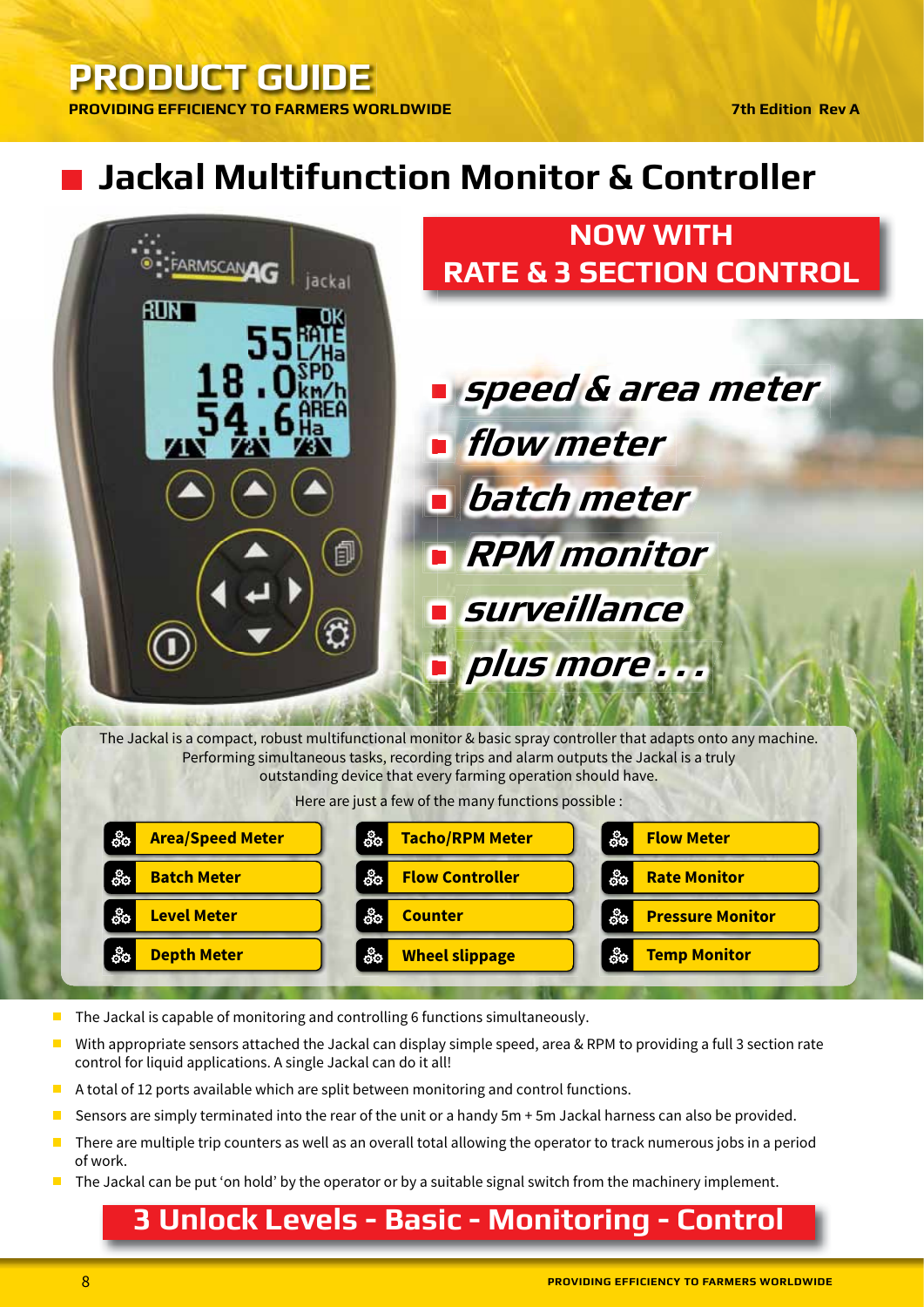#### **7th Edition Rev A**

# **Jackal Multifunction Monitor & Controller**



outstanding device that every farming operation should have.

Here are just a few of the many functions possible :

| $60^{\circ}$            | $rac{6}{60}$           | စိစ                     |
|-------------------------|------------------------|-------------------------|
| <b>Area/Speed Meter</b> | <b>Tacho/RPM Meter</b> | <b>Flow Meter</b>       |
| $\frac{6}{9}$           | စိစ                    | စိစ                     |
| <b>Batch Meter</b>      | <b>Flow Controller</b> | <b>Rate Monitor</b>     |
| $\frac{6}{9}$           | ôo                     | ္လိဝ                    |
| <b>Level Meter</b>      | <b>Counter</b>         | <b>Pressure Monitor</b> |
| $\frac{6}{9}$           | စိစ                    | စိစ                     |
| <b>Depth Meter</b>      | <b>Wheel slippage</b>  | <b>Temp Monitor</b>     |

The Jackal is capable of monitoring and controlling 6 functions simultaneously.  $\overline{\phantom{a}}$ 

- With appropriate sensors attached the Jackal can display simple speed, area & RPM to providing a full 3 section rate  $\overline{\phantom{a}}$ control for liquid applications. A single Jackal can do it all!
- A total of 12 ports available which are split between monitoring and control functions.
- Sensors are simply terminated into the rear of the unit or a handy 5m + 5m Jackal harness can also be provided.
- There are multiple trip counters as well as an overall total allowing the operator to track numerous jobs in a period of work.
- The Jackal can be put 'on hold' by the operator or by a suitable signal switch from the machinery implement.  $\Box$

## 3 Unlock Levels - Basic - Monitoring - Control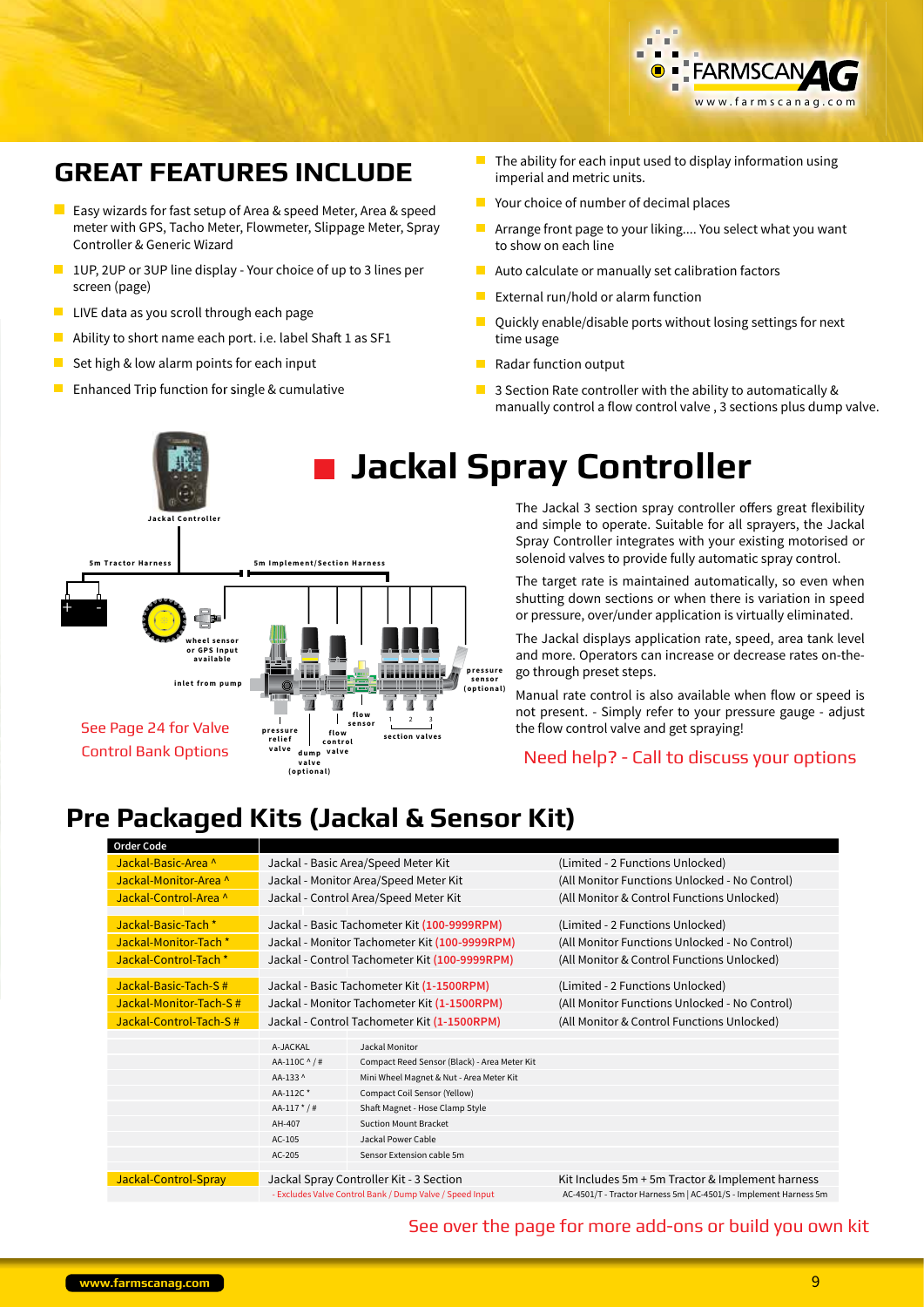

#### **GREAT FEATURES INCLUDE**

- **Example 2** Easy wizards for fast setup of Area & speed Meter, Area & speed meter with GPS, Tacho Meter, Flowmeter, Slippage Meter, Spray Controller & Generic Wizard
- $\blacksquare$  1UP, 2UP or 3UP line display Your choice of up to 3 lines per screen (page)
- LIVE data as you scroll through each page
- Ability to short name each port. i.e. label Shaft 1 as SF1
- Set high & low alarm points for each input П
- $\blacksquare$  Enhanced Trip function for single & cumulative
- $\blacksquare$  The ability for each input used to display information using imperial and metric units.
- $\blacksquare$  Your choice of number of decimal places
- $\blacksquare$ Arrange front page to your liking.... You select what you want to show on each line
- Auto calculate or manually set calibration factors
- External run/hold or alarm function
- Ouickly enable/disable ports without losing settings for next time usage
- Radar function output  $\blacksquare$
- $\mathcal{L}_{\mathcal{A}}$ 3 Section Rate controller with the ability to automatically & manually control a flow control valve, 3 sections plus dump valve.



## **Jackal Spray Controller**

The Jackal 3 section spray controller offers great flexibility and simple to operate. Suitable for all sprayers, the Jackal Spray Controller integrates with your existing motorised or solenoid valves to provide fully automatic spray control.

The target rate is maintained automatically, so even when shutting down sections or when there is variation in speed or pressure, over/under application is virtually eliminated.

The Jackal displays application rate, speed, area tank level and more. Operators can increase or decrease rates on-thego through preset steps.

Manual rate control is also available when flow or speed is not present. - Simply refer to your pressure gauge - adjust the flow control valve and get spraving!

Need help? - Call to discuss your options

### **Pre Packaged Kits (Jackal & Sensor Kit)**

| <b>Order Code</b>      |                                             |                                                          |                                                                   |
|------------------------|---------------------------------------------|----------------------------------------------------------|-------------------------------------------------------------------|
| Jackal-Basic-Area ^    | Jackal - Basic Area/Speed Meter Kit         |                                                          | (Limited - 2 Functions Unlocked)                                  |
| Jackal-Monitor-Area ^  |                                             | Jackal - Monitor Area/Speed Meter Kit                    | (All Monitor Functions Unlocked - No Control)                     |
| Jackal-Control-Area ^  |                                             | Jackal - Control Area/Speed Meter Kit                    | (All Monitor & Control Functions Unlocked)                        |
|                        |                                             |                                                          |                                                                   |
| Jackal-Basic-Tach *    |                                             | Jackal - Basic Tachometer Kit (100-9999RPM)              | (Limited - 2 Functions Unlocked)                                  |
| Jackal-Monitor-Tach *  |                                             | Jackal - Monitor Tachometer Kit (100-9999RPM)            | (All Monitor Functions Unlocked - No Control)                     |
| Jackal-Control-Tach *  |                                             | Jackal - Control Tachometer Kit (100-9999RPM)            | (All Monitor & Control Functions Unlocked)                        |
|                        |                                             |                                                          |                                                                   |
| Jackal-Basic-Tach-S#   |                                             | Jackal - Basic Tachometer Kit (1-1500RPM)                | (Limited - 2 Functions Unlocked)                                  |
| Jackal-Monitor-Tach-S# | Jackal - Monitor Tachometer Kit (1-1500RPM) |                                                          | (All Monitor Functions Unlocked - No Control)                     |
| Jackal-Control-Tach-S# | Jackal - Control Tachometer Kit (1-1500RPM) |                                                          | (All Monitor & Control Functions Unlocked)                        |
|                        |                                             |                                                          |                                                                   |
|                        | A-JACKAL                                    | Jackal Monitor                                           |                                                                   |
|                        | AA-110C ^ /#                                | Compact Reed Sensor (Black) - Area Meter Kit             |                                                                   |
|                        | AA-133 ^                                    | Mini Wheel Magnet & Nut - Area Meter Kit                 |                                                                   |
|                        | AA-112C*                                    | Compact Coil Sensor (Yellow)                             |                                                                   |
|                        | $AA-117$ * / #                              | Shaft Magnet - Hose Clamp Style                          |                                                                   |
|                        | AH-407                                      | <b>Suction Mount Bracket</b>                             |                                                                   |
|                        | $AC-105$                                    | Jackal Power Cable                                       |                                                                   |
|                        | AC-205                                      | Sensor Extension cable 5m                                |                                                                   |
|                        |                                             |                                                          |                                                                   |
| Jackal-Control-Spray   |                                             | Jackal Spray Controller Kit - 3 Section                  | Kit Includes 5m + 5m Tractor & Implement harness                  |
|                        |                                             | - Excludes Valve Control Bank / Dump Valve / Speed Input | AC-4501/T - Tractor Harness 5m   AC-4501/S - Implement Harness 5m |

See over the page for more add-ons or build you own kit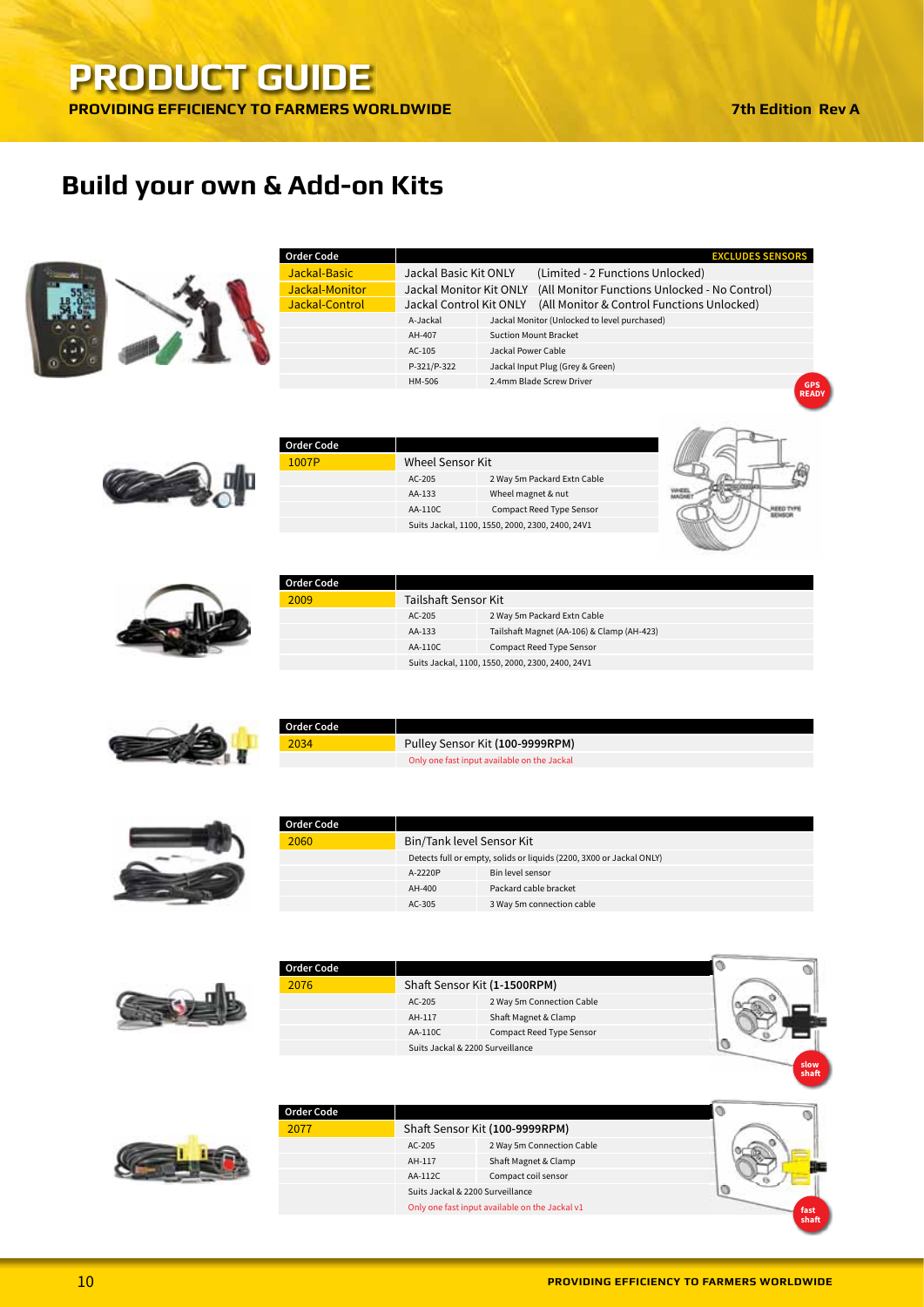## Build your own & Add-on Kits



| <b>Order Code</b> |                         |                    | <b>EXCLUDES SENSORS</b>                       |
|-------------------|-------------------------|--------------------|-----------------------------------------------|
| Jackal-Basic      | Jackal Basic Kit ONLY   |                    | (Limited - 2 Functions Unlocked)              |
| Jackal-Monitor    | Jackal Monitor Kit ONLY |                    | (All Monitor Functions Unlocked - No Control) |
| Jackal-Control    | Jackal Control Kit ONLY |                    | (All Monitor & Control Functions Unlocked)    |
|                   | A-Jackal                |                    | Jackal Monitor (Unlocked to level purchased)  |
|                   | AH-407                  |                    | <b>Suction Mount Bracket</b>                  |
|                   | $AC-105$                | Jackal Power Cable |                                               |
|                   | P-321/P-322             |                    | Jackal Input Plug (Grey & Green)              |
|                   | HM-506                  |                    | 2.4mm Blade Screw Driver                      |



| <b>Order Code</b> |                  |                                                  |
|-------------------|------------------|--------------------------------------------------|
| 1007P             | Wheel Sensor Kit |                                                  |
|                   | $AC-205$         | 2 Way 5m Packard Extn Cable                      |
|                   | AA-133           | Wheel magnet & nut                               |
|                   | AA-110C          | <b>Compact Reed Type Sensor</b>                  |
|                   |                  | Suits Jackal, 1100, 1550, 2000, 2300, 2400, 24V1 |
|                   |                  |                                                  |





| Order Code |                      |                                                  |
|------------|----------------------|--------------------------------------------------|
| 2009       | Tailshaft Sensor Kit |                                                  |
|            | AC-205               | 2 Way 5m Packard Extn Cable                      |
|            | AA-133               | Tailshaft Magnet (AA-106) & Clamp (AH-423)       |
|            | AA-110C              | <b>Compact Reed Type Sensor</b>                  |
|            |                      | Suits Jackal, 1100, 1550, 2000, 2300, 2400, 24V1 |
|            |                      |                                                  |



| Order Code |                                             |
|------------|---------------------------------------------|
| 2034       | Pulley Sensor Kit (100-9999RPM)             |
|            | Only one fast input available on the Jackal |



| <b>Order Code</b> |                           |                                                                      |
|-------------------|---------------------------|----------------------------------------------------------------------|
| 2060              | Bin/Tank level Sensor Kit |                                                                      |
|                   |                           | Detects full or empty, solids or liquids (2200, 3X00 or Jackal ONLY) |
|                   | A-2220P                   | Bin level sensor                                                     |
|                   | AH-400                    | Packard cable bracket                                                |
|                   | $AC-305$                  | 3 Way 5m connection cable                                            |



| <b>Order Code</b> |         |                                  |  |
|-------------------|---------|----------------------------------|--|
| 2076              |         | Shaft Sensor Kit (1-1500RPM)     |  |
|                   | AC-205  | 2 Way 5m Connection Cable        |  |
|                   | AH-117  | Shaft Magnet & Clamp             |  |
|                   | AA-110C | Compact Reed Type Sensor         |  |
|                   |         | Suits Jackal & 2200 Surveillance |  |
|                   |         |                                  |  |



| Order Code |         |                                                |                |
|------------|---------|------------------------------------------------|----------------|
| 2077       |         | Shaft Sensor Kit (100-9999RPM)                 |                |
|            | AC-205  | 2 Way 5m Connection Cable                      |                |
|            | AH-117  | Shaft Magnet & Clamp                           |                |
|            | AA-112C | Compact coil sensor                            |                |
|            |         | Suits Jackal & 2200 Surveillance               |                |
|            |         | Only one fast input available on the Jackal v1 | fast<br>$-1.1$ |